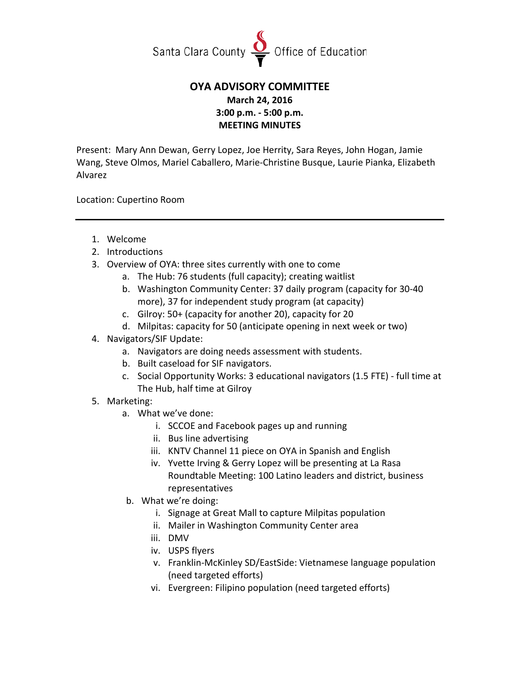

## **OYA ADVISORY COMMITTEE March 24, 2016 3:00 p.m. - 5:00 p.m. MEETING MINUTES**

Present: Mary Ann Dewan, Gerry Lopez, Joe Herrity, Sara Reyes, John Hogan, Jamie Wang, Steve Olmos, Mariel Caballero, Marie-Christine Busque, Laurie Pianka, Elizabeth Alvarez

Location: Cupertino Room

- 1. Welcome
- 2. Introductions
- 3. Overview of OYA: three sites currently with one to come
	- a. The Hub: 76 students (full capacity); creating waitlist
	- b. Washington Community Center: 37 daily program (capacity for 30-40 more), 37 for independent study program (at capacity)
	- c. Gilroy: 50+ (capacity for another 20), capacity for 20
	- d. Milpitas: capacity for 50 (anticipate opening in next week or two)
- 4. Navigators/SIF Update:
	- a. Navigators are doing needs assessment with students.
	- b. Built caseload for SIF navigators.
	- c. Social Opportunity Works: 3 educational navigators (1.5 FTE) full time at The Hub, half time at Gilroy
- 5. Marketing:
	- a. What we've done:
		- i. SCCOE and Facebook pages up and running
		- ii. Bus line advertising
		- iii. KNTV Channel 11 piece on OYA in Spanish and English
		- iv. Yvette Irving & Gerry Lopez will be presenting at La Rasa Roundtable Meeting: 100 Latino leaders and district, business representatives
	- b. What we're doing:
		- i. Signage at Great Mall to capture Milpitas population
		- ii. Mailer in Washington Community Center area
		- iii. DMV
		- iv. USPS flyers
		- v. Franklin-McKinley SD/EastSide: Vietnamese language population (need targeted efforts)
		- vi. Evergreen: Filipino population (need targeted efforts)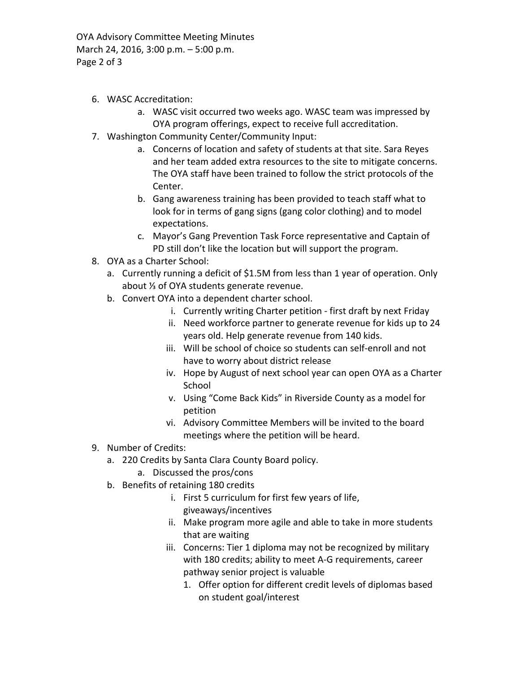OYA Advisory Committee Meeting Minutes March 24, 2016, 3:00 p.m. – 5:00 p.m. Page 2 of 3

- 6. WASC Accreditation:
	- a. WASC visit occurred two weeks ago. WASC team was impressed by OYA program offerings, expect to receive full accreditation.
- 7. Washington Community Center/Community Input:
	- a. Concerns of location and safety of students at that site. Sara Reyes and her team added extra resources to the site to mitigate concerns. The OYA staff have been trained to follow the strict protocols of the Center.
	- b. Gang awareness training has been provided to teach staff what to look for in terms of gang signs (gang color clothing) and to model expectations.
	- c. Mayor's Gang Prevention Task Force representative and Captain of PD still don't like the location but will support the program.
- 8. OYA as a Charter School:
	- a. Currently running a deficit of \$1.5M from less than 1 year of operation. Only about ⅓ of OYA students generate revenue.
	- b. Convert OYA into a dependent charter school.
		- i. Currently writing Charter petition first draft by next Friday
		- ii. Need workforce partner to generate revenue for kids up to 24 years old. Help generate revenue from 140 kids.
		- iii. Will be school of choice so students can self-enroll and not have to worry about district release
		- iv. Hope by August of next school year can open OYA as a Charter School
		- v. Using "Come Back Kids" in Riverside County as a model for petition
		- vi. Advisory Committee Members will be invited to the board meetings where the petition will be heard.
- 9. Number of Credits:
	- a. 220 Credits by Santa Clara County Board policy.
		- a. Discussed the pros/cons
	- b. Benefits of retaining 180 credits
		- i. First 5 curriculum for first few years of life, giveaways/incentives
		- ii. Make program more agile and able to take in more students that are waiting
		- iii. Concerns: Tier 1 diploma may not be recognized by military with 180 credits; ability to meet A-G requirements, career pathway senior project is valuable
			- 1. Offer option for different credit levels of diplomas based on student goal/interest